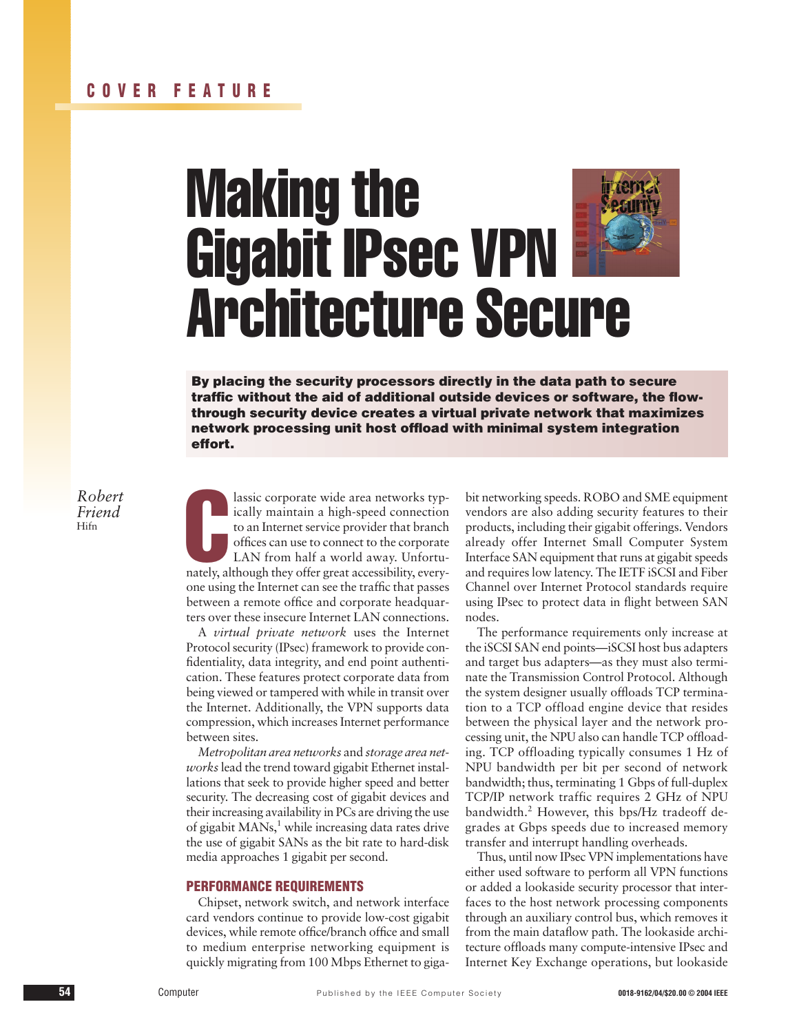# Making the Gigabit IPsec VPN Architecture Secure

**By placing the security processors directly in the data path to secure traffic without the aid of additional outside devices or software, the flowthrough security device creates a virtual private network that maximizes network processing unit host offload with minimal system integration effort.**

*Robert Friend* Hifn

lassic corporate wide area networks typically maintain a high-speed connection<br>to an Internet service provider that branch<br>offices can use to connect to the corporate<br>LAN from half a world away. Unfortu-<br>nately, although t lassic corporate wide area networks typically maintain a high-speed connection to an Internet service provider that branch offices can use to connect to the corporate LAN from half a world away. Unfortuone using the Internet can see the traffic that passes between a remote office and corporate headquarters over these insecure Internet LAN connections.

A *virtual private network* uses the Internet Protocol security (IPsec) framework to provide confidentiality, data integrity, and end point authentication. These features protect corporate data from being viewed or tampered with while in transit over the Internet. Additionally, the VPN supports data compression, which increases Internet performance between sites.

*Metropolitan area networks* and *storage area networks*lead the trend toward gigabit Ethernet installations that seek to provide higher speed and better security. The decreasing cost of gigabit devices and their increasing availability in PCs are driving the use of gigabit  $MANs<sub>1</sub><sup>1</sup>$  while increasing data rates drive the use of gigabit SANs as the bit rate to hard-disk media approaches 1 gigabit per second.

# **PERFORMANCE REQUIREMENTS**

Chipset, network switch, and network interface card vendors continue to provide low-cost gigabit devices, while remote office/branch office and small to medium enterprise networking equipment is quickly migrating from 100 Mbps Ethernet to giga-

bit networking speeds. ROBO and SME equipment vendors are also adding security features to their products, including their gigabit offerings. Vendors already offer Internet Small Computer System Interface SAN equipment that runs at gigabit speeds and requires low latency. The IETF iSCSI and Fiber Channel over Internet Protocol standards require using IPsec to protect data in flight between SAN nodes.

The performance requirements only increase at the iSCSI SAN end points—iSCSI host bus adapters and target bus adapters—as they must also terminate the Transmission Control Protocol. Although the system designer usually offloads TCP termination to a TCP offload engine device that resides between the physical layer and the network processing unit, the NPU also can handle TCP offloading. TCP offloading typically consumes 1 Hz of NPU bandwidth per bit per second of network bandwidth; thus, terminating 1 Gbps of full-duplex TCP/IP network traffic requires 2 GHz of NPU bandwidth.<sup>2</sup> However, this bps/Hz tradeoff degrades at Gbps speeds due to increased memory transfer and interrupt handling overheads.

Thus, until now IPsec VPN implementations have either used software to perform all VPN functions or added a lookaside security processor that interfaces to the host network processing components through an auxiliary control bus, which removes it from the main dataflow path. The lookaside architecture offloads many compute-intensive IPsec and Internet Key Exchange operations, but lookaside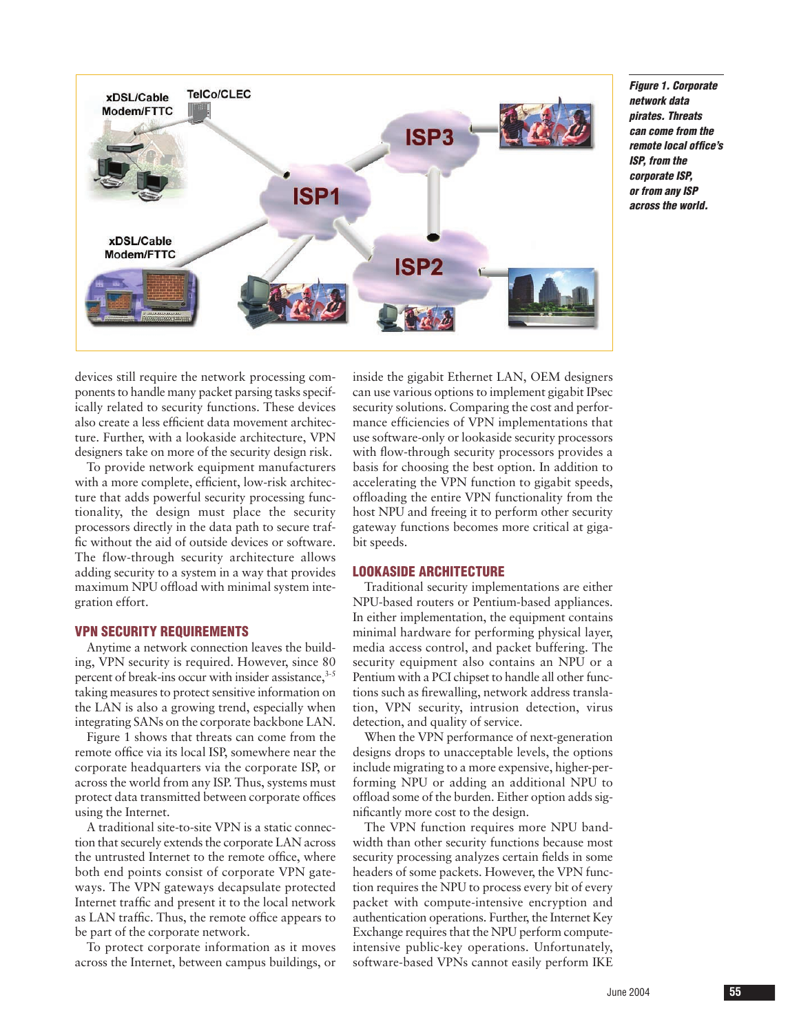

*Figure 1. Corporate network data pirates. Threats can come from the remote local office's ISP, from the corporate ISP, or from any ISP across the world.*

devices still require the network processing components to handle many packet parsing tasks specifically related to security functions. These devices also create a less efficient data movement architecture. Further, with a lookaside architecture, VPN designers take on more of the security design risk.

To provide network equipment manufacturers with a more complete, efficient, low-risk architecture that adds powerful security processing functionality, the design must place the security processors directly in the data path to secure traffic without the aid of outside devices or software. The flow-through security architecture allows adding security to a system in a way that provides maximum NPU offload with minimal system integration effort.

# **VPN SECURITY REQUIREMENTS**

Anytime a network connection leaves the building, VPN security is required. However, since 80 percent of break-ins occur with insider assistance, 3-5 taking measures to protect sensitive information on the LAN is also a growing trend, especially when integrating SANs on the corporate backbone LAN.

Figure 1 shows that threats can come from the remote office via its local ISP, somewhere near the corporate headquarters via the corporate ISP, or across the world from any ISP. Thus, systems must protect data transmitted between corporate offices using the Internet.

A traditional site-to-site VPN is a static connection that securely extends the corporate LAN across the untrusted Internet to the remote office, where both end points consist of corporate VPN gateways. The VPN gateways decapsulate protected Internet traffic and present it to the local network as LAN traffic. Thus, the remote office appears to be part of the corporate network.

To protect corporate information as it moves across the Internet, between campus buildings, or

inside the gigabit Ethernet LAN, OEM designers can use various options to implement gigabit IPsec security solutions. Comparing the cost and performance efficiencies of VPN implementations that use software-only or lookaside security processors with flow-through security processors provides a basis for choosing the best option. In addition to accelerating the VPN function to gigabit speeds, offloading the entire VPN functionality from the host NPU and freeing it to perform other security gateway functions becomes more critical at gigabit speeds.

# **LOOKASIDE ARCHITECTURE**

Traditional security implementations are either NPU-based routers or Pentium-based appliances. In either implementation, the equipment contains minimal hardware for performing physical layer, media access control, and packet buffering. The security equipment also contains an NPU or a Pentium with a PCI chipset to handle all other functions such as firewalling, network address translation, VPN security, intrusion detection, virus detection, and quality of service.

When the VPN performance of next-generation designs drops to unacceptable levels, the options include migrating to a more expensive, higher-performing NPU or adding an additional NPU to offload some of the burden. Either option adds significantly more cost to the design.

The VPN function requires more NPU bandwidth than other security functions because most security processing analyzes certain fields in some headers of some packets. However, the VPN function requires the NPU to process every bit of every packet with compute-intensive encryption and authentication operations. Further, the Internet Key Exchange requires that the NPU perform computeintensive public-key operations. Unfortunately, software-based VPNs cannot easily perform IKE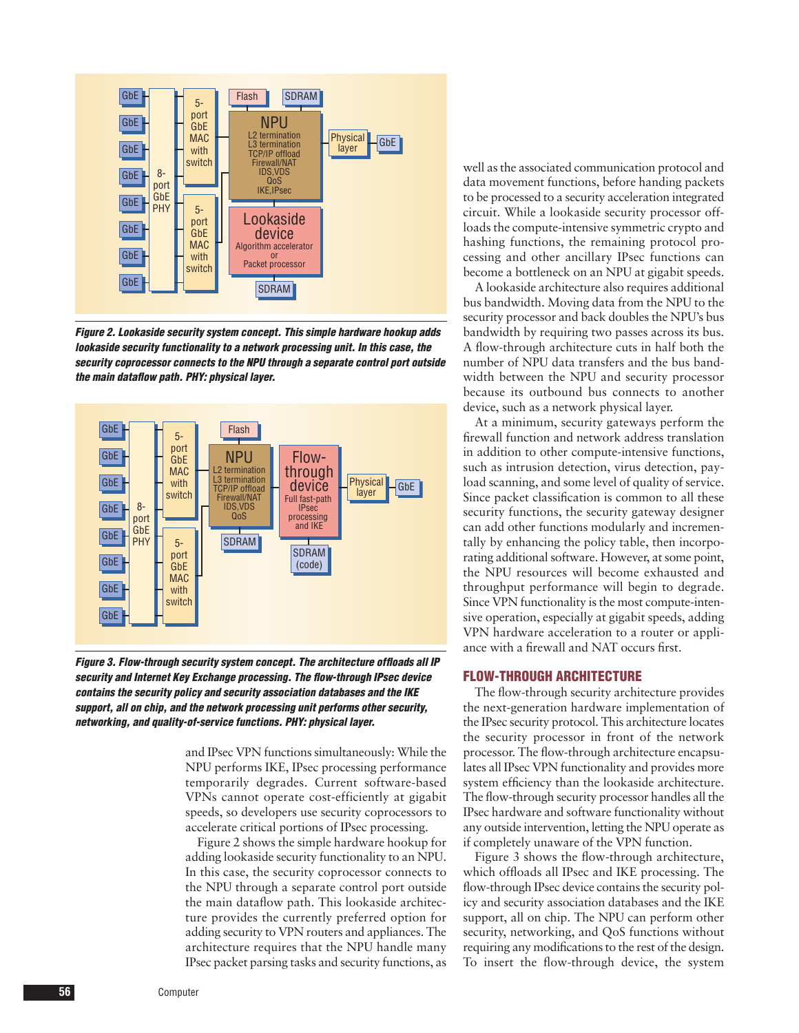

*Figure 2. Lookaside security system concept. This simple hardware hookup adds lookaside security functionality to a network processing unit. In this case, the security coprocessor connects to the NPU through a separate control port outside the main dataflow path. PHY: physical layer.*



*Figure 3. Flow-through security system concept. The architecture offloads all IP security and Internet Key Exchange processing. The flow-through IPsec device contains the security policy and security association databases and the IKE support, all on chip, and the network processing unit performs other security, networking, and quality-of-service functions. PHY: physical layer.*

and IPsec VPN functions simultaneously: While the NPU performs IKE, IPsec processing performance temporarily degrades. Current software-based VPNs cannot operate cost-efficiently at gigabit speeds, so developers use security coprocessors to accelerate critical portions of IPsec processing.

Figure 2 shows the simple hardware hookup for adding lookaside security functionality to an NPU. In this case, the security coprocessor connects to the NPU through a separate control port outside the main dataflow path. This lookaside architecture provides the currently preferred option for adding security to VPN routers and appliances. The architecture requires that the NPU handle many IPsec packet parsing tasks and security functions, as well as the associated communication protocol and data movement functions, before handing packets to be processed to a security acceleration integrated circuit. While a lookaside security processor offloads the compute-intensive symmetric crypto and hashing functions, the remaining protocol processing and other ancillary IPsec functions can become a bottleneck on an NPU at gigabit speeds.

A lookaside architecture also requires additional bus bandwidth. Moving data from the NPU to the security processor and back doubles the NPU's bus bandwidth by requiring two passes across its bus. A flow-through architecture cuts in half both the number of NPU data transfers and the bus bandwidth between the NPU and security processor because its outbound bus connects to another device, such as a network physical layer.

At a minimum, security gateways perform the firewall function and network address translation in addition to other compute-intensive functions, such as intrusion detection, virus detection, payload scanning, and some level of quality of service. Since packet classification is common to all these security functions, the security gateway designer can add other functions modularly and incrementally by enhancing the policy table, then incorporating additional software. However, at some point, the NPU resources will become exhausted and throughput performance will begin to degrade. Since VPN functionality is the most compute-intensive operation, especially at gigabit speeds, adding VPN hardware acceleration to a router or appliance with a firewall and NAT occurs first.

# **FLOW-THROUGH ARCHITECTURE**

The flow-through security architecture provides the next-generation hardware implementation of the IPsec security protocol. This architecture locates the security processor in front of the network processor. The flow-through architecture encapsulates all IPsec VPN functionality and provides more system efficiency than the lookaside architecture. The flow-through security processor handles all the IPsec hardware and software functionality without any outside intervention, letting the NPU operate as if completely unaware of the VPN function.

Figure 3 shows the flow-through architecture, which offloads all IPsec and IKE processing. The flow-through IPsec device contains the security policy and security association databases and the IKE support, all on chip. The NPU can perform other security, networking, and QoS functions without requiring any modifications to the rest of the design. To insert the flow-through device, the system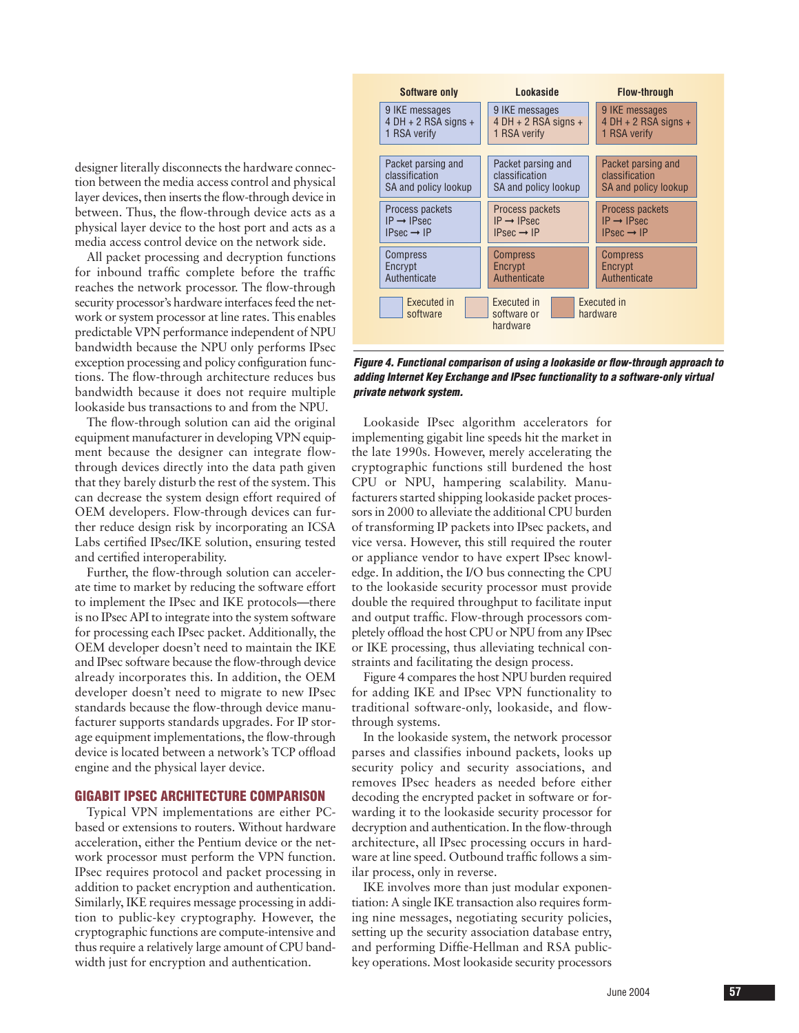designer literally disconnects the hardware connection between the media access control and physical layer devices, then inserts the flow-through device in between. Thus, the flow-through device acts as a physical layer device to the host port and acts as a media access control device on the network side.

All packet processing and decryption functions for inbound traffic complete before the traffic reaches the network processor. The flow-through security processor's hardware interfaces feed the network or system processor at line rates. This enables predictable VPN performance independent of NPU bandwidth because the NPU only performs IPsec exception processing and policy configuration functions. The flow-through architecture reduces bus bandwidth because it does not require multiple lookaside bus transactions to and from the NPU.

The flow-through solution can aid the original equipment manufacturer in developing VPN equipment because the designer can integrate flowthrough devices directly into the data path given that they barely disturb the rest of the system. This can decrease the system design effort required of OEM developers. Flow-through devices can further reduce design risk by incorporating an ICSA Labs certified IPsec/IKE solution, ensuring tested and certified interoperability.

Further, the flow-through solution can accelerate time to market by reducing the software effort to implement the IPsec and IKE protocols—there is no IPsec API to integrate into the system software for processing each IPsec packet. Additionally, the OEM developer doesn't need to maintain the IKE and IPsec software because the flow-through device already incorporates this. In addition, the OEM developer doesn't need to migrate to new IPsec standards because the flow-through device manufacturer supports standards upgrades. For IP storage equipment implementations, the flow-through device is located between a network's TCP offload engine and the physical layer device.

# **GIGABIT IPSEC ARCHITECTURE COMPARISON**

Typical VPN implementations are either PCbased or extensions to routers. Without hardware acceleration, either the Pentium device or the network processor must perform the VPN function. IPsec requires protocol and packet processing in addition to packet encryption and authentication. Similarly, IKE requires message processing in addition to public-key cryptography. However, the cryptographic functions are compute-intensive and thus require a relatively large amount of CPU bandwidth just for encryption and authentication.



*Figure 4. Functional comparison of using a lookaside or flow-through approach to adding Internet Key Exchange and IPsec functionality to a software-only virtual private network system.*

Lookaside IPsec algorithm accelerators for implementing gigabit line speeds hit the market in the late 1990s. However, merely accelerating the cryptographic functions still burdened the host CPU or NPU, hampering scalability. Manufacturers started shipping lookaside packet processors in 2000 to alleviate the additional CPU burden of transforming IP packets into IPsec packets, and vice versa. However, this still required the router or appliance vendor to have expert IPsec knowledge. In addition, the I/O bus connecting the CPU to the lookaside security processor must provide double the required throughput to facilitate input and output traffic. Flow-through processors completely offload the host CPU or NPU from any IPsec or IKE processing, thus alleviating technical constraints and facilitating the design process.

Figure 4 compares the host NPU burden required for adding IKE and IPsec VPN functionality to traditional software-only, lookaside, and flowthrough systems.

In the lookaside system, the network processor parses and classifies inbound packets, looks up security policy and security associations, and removes IPsec headers as needed before either decoding the encrypted packet in software or forwarding it to the lookaside security processor for decryption and authentication. In the flow-through architecture, all IPsec processing occurs in hardware at line speed. Outbound traffic follows a similar process, only in reverse.

IKE involves more than just modular exponentiation: A single IKE transaction also requires forming nine messages, negotiating security policies, setting up the security association database entry, and performing Diffie-Hellman and RSA publickey operations. Most lookaside security processors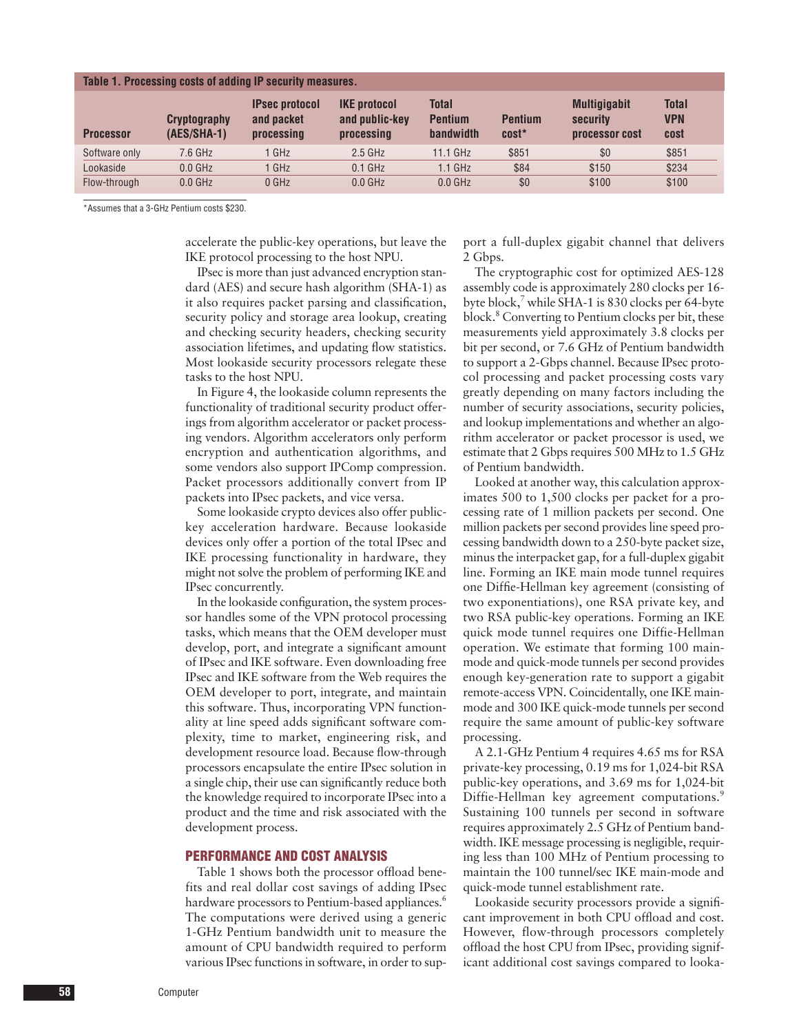| Table 1. Processing costs of adding IP security measures. |                             |                                                   |                                                     |                                                    |                         |                                                   |                                    |  |
|-----------------------------------------------------------|-----------------------------|---------------------------------------------------|-----------------------------------------------------|----------------------------------------------------|-------------------------|---------------------------------------------------|------------------------------------|--|
| <b>Processor</b>                                          | Cryptography<br>(AES/SHA-1) | <b>IPsec protocol</b><br>and packet<br>processing | <b>IKE protocol</b><br>and public-key<br>processing | <b>Total</b><br><b>Pentium</b><br><b>bandwidth</b> | <b>Pentium</b><br>cost* | <b>Multigigabit</b><br>security<br>processor cost | <b>Total</b><br><b>VPN</b><br>cost |  |
| Software only                                             | 7.6 GHz                     | 1 GHz                                             | $2.5$ GHz                                           | 11.1 GHz                                           | \$851                   | \$0                                               | \$851                              |  |
| Lookaside                                                 | $0.0$ GHz                   | 1 GHz                                             | $0.1$ GHz                                           | $1.1$ GHz                                          | \$84                    | \$150                                             | \$234                              |  |
| Flow-through                                              | $0.0$ GHz                   | $0$ GHz                                           | $0.0$ GHz                                           | $0.0$ GHz                                          | \$0                     | \$100                                             | \$100                              |  |

\*Assumes that a 3-GHz Pentium costs \$230.

accelerate the public-key operations, but leave the IKE protocol processing to the host NPU.

IPsec is more than just advanced encryption standard (AES) and secure hash algorithm (SHA-1) as it also requires packet parsing and classification, security policy and storage area lookup, creating and checking security headers, checking security association lifetimes, and updating flow statistics. Most lookaside security processors relegate these tasks to the host NPU.

In Figure 4, the lookaside column represents the functionality of traditional security product offerings from algorithm accelerator or packet processing vendors. Algorithm accelerators only perform encryption and authentication algorithms, and some vendors also support IPComp compression. Packet processors additionally convert from IP packets into IPsec packets, and vice versa.

Some lookaside crypto devices also offer publickey acceleration hardware. Because lookaside devices only offer a portion of the total IPsec and IKE processing functionality in hardware, they might not solve the problem of performing IKE and IPsec concurrently.

In the lookaside configuration, the system processor handles some of the VPN protocol processing tasks, which means that the OEM developer must develop, port, and integrate a significant amount of IPsec and IKE software. Even downloading free IPsec and IKE software from the Web requires the OEM developer to port, integrate, and maintain this software. Thus, incorporating VPN functionality at line speed adds significant software complexity, time to market, engineering risk, and development resource load. Because flow-through processors encapsulate the entire IPsec solution in a single chip, their use can significantly reduce both the knowledge required to incorporate IPsec into a product and the time and risk associated with the development process.

# **PERFORMANCE AND COST ANALYSIS**

Table 1 shows both the processor offload benefits and real dollar cost savings of adding IPsec hardware processors to Pentium-based appliances.<sup>6</sup> The computations were derived using a generic 1-GHz Pentium bandwidth unit to measure the amount of CPU bandwidth required to perform various IPsec functions in software, in order to support a full-duplex gigabit channel that delivers 2 Gbps.

The cryptographic cost for optimized AES-128 assembly code is approximately 280 clocks per 16 byte block, $\frac{7}{7}$  while SHA-1 is 830 clocks per 64-byte block.8 Converting to Pentium clocks per bit, these measurements yield approximately 3.8 clocks per bit per second, or 7.6 GHz of Pentium bandwidth to support a 2-Gbps channel. Because IPsec protocol processing and packet processing costs vary greatly depending on many factors including the number of security associations, security policies, and lookup implementations and whether an algorithm accelerator or packet processor is used, we estimate that 2 Gbps requires 500 MHz to 1.5 GHz of Pentium bandwidth.

Looked at another way, this calculation approximates 500 to 1,500 clocks per packet for a processing rate of 1 million packets per second. One million packets per second provides line speed processing bandwidth down to a 250-byte packet size, minus the interpacket gap, for a full-duplex gigabit line. Forming an IKE main mode tunnel requires one Diffie-Hellman key agreement (consisting of two exponentiations), one RSA private key, and two RSA public-key operations. Forming an IKE quick mode tunnel requires one Diffie-Hellman operation. We estimate that forming 100 mainmode and quick-mode tunnels per second provides enough key-generation rate to support a gigabit remote-access VPN. Coincidentally, one IKE mainmode and 300 IKE quick-mode tunnels per second require the same amount of public-key software processing.

A 2.1-GHz Pentium 4 requires 4.65 ms for RSA private-key processing, 0.19 ms for 1,024-bit RSA public-key operations, and 3.69 ms for 1,024-bit Diffie-Hellman key agreement computations.<sup>9</sup> Sustaining 100 tunnels per second in software requires approximately 2.5 GHz of Pentium bandwidth. IKE message processing is negligible, requiring less than 100 MHz of Pentium processing to maintain the 100 tunnel/sec IKE main-mode and quick-mode tunnel establishment rate.

Lookaside security processors provide a significant improvement in both CPU offload and cost. However, flow-through processors completely offload the host CPU from IPsec, providing significant additional cost savings compared to looka-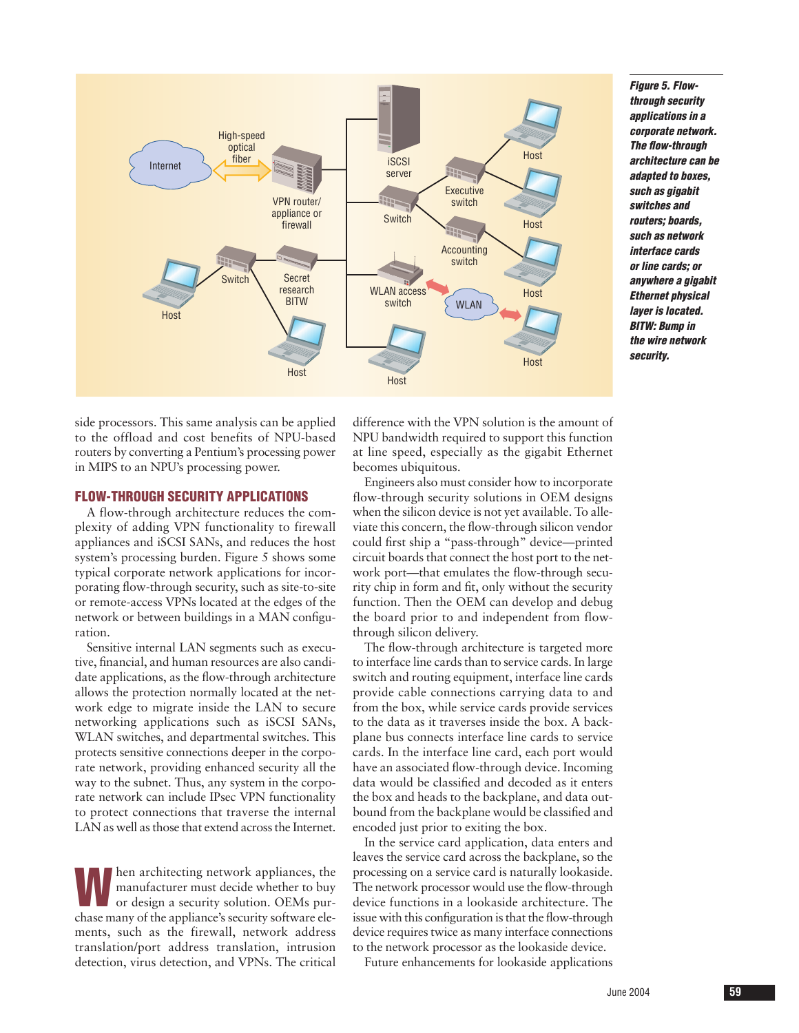

*Figure 5. Flowthrough security applications in a corporate network. The flow-through architecture can be adapted to boxes, such as gigabit switches and routers; boards, such as network interface cards or line cards; or anywhere a gigabit Ethernet physical layer is located. BITW: Bump in the wire network security.*

side processors. This same analysis can be applied to the offload and cost benefits of NPU-based routers by converting a Pentium's processing power in MIPS to an NPU's processing power.

# **FLOW-THROUGH SECURITY APPLICATIONS**

A flow-through architecture reduces the complexity of adding VPN functionality to firewall appliances and iSCSI SANs, and reduces the host system's processing burden. Figure 5 shows some typical corporate network applications for incorporating flow-through security, such as site-to-site or remote-access VPNs located at the edges of the network or between buildings in a MAN configuration.

Sensitive internal LAN segments such as executive, financial, and human resources are also candidate applications, as the flow-through architecture allows the protection normally located at the network edge to migrate inside the LAN to secure networking applications such as iSCSI SANs, WLAN switches, and departmental switches. This protects sensitive connections deeper in the corporate network, providing enhanced security all the way to the subnet. Thus, any system in the corporate network can include IPsec VPN functionality to protect connections that traverse the internal LAN as well as those that extend across the Internet.

hen architecting network appliances, the manufacturer must decide whether to buy or design a security solution. OEMs purchase many of the appliance's security software elements, such as the firewall, network address translation/port address translation, intrusion detection, virus detection, and VPNs. The critical

difference with the VPN solution is the amount of NPU bandwidth required to support this function at line speed, especially as the gigabit Ethernet becomes ubiquitous.

Engineers also must consider how to incorporate flow-through security solutions in OEM designs when the silicon device is not yet available. To alleviate this concern, the flow-through silicon vendor could first ship a "pass-through" device—printed circuit boards that connect the host port to the network port—that emulates the flow-through security chip in form and fit, only without the security function. Then the OEM can develop and debug the board prior to and independent from flowthrough silicon delivery.

The flow-through architecture is targeted more to interface line cards than to service cards. In large switch and routing equipment, interface line cards provide cable connections carrying data to and from the box, while service cards provide services to the data as it traverses inside the box. A backplane bus connects interface line cards to service cards. In the interface line card, each port would have an associated flow-through device. Incoming data would be classified and decoded as it enters the box and heads to the backplane, and data outbound from the backplane would be classified and encoded just prior to exiting the box.

In the service card application, data enters and leaves the service card across the backplane, so the processing on a service card is naturally lookaside. The network processor would use the flow-through device functions in a lookaside architecture. The issue with this configuration is that the flow-through device requires twice as many interface connections to the network processor as the lookaside device.

Future enhancements for lookaside applications